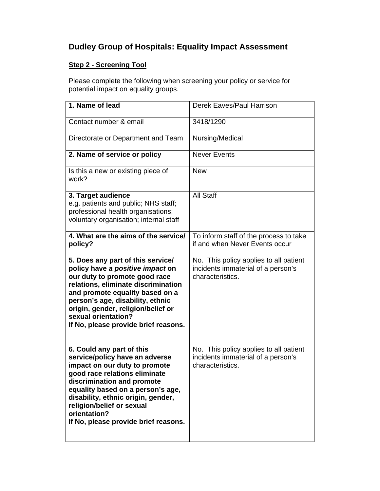## **Dudley Group of Hospitals: Equality Impact Assessment**

## **Step 2 - Screening Tool**

Please complete the following when screening your policy or service for potential impact on equality groups.

| 1. Name of lead                                                                                                                                                                                                                                                                                                             | Derek Eaves/Paul Harrison                                                                        |
|-----------------------------------------------------------------------------------------------------------------------------------------------------------------------------------------------------------------------------------------------------------------------------------------------------------------------------|--------------------------------------------------------------------------------------------------|
| Contact number & email                                                                                                                                                                                                                                                                                                      | 3418/1290                                                                                        |
| Directorate or Department and Team                                                                                                                                                                                                                                                                                          | Nursing/Medical                                                                                  |
| 2. Name of service or policy                                                                                                                                                                                                                                                                                                | <b>Never Events</b>                                                                              |
| Is this a new or existing piece of<br>work?                                                                                                                                                                                                                                                                                 | <b>New</b>                                                                                       |
| 3. Target audience<br>e.g. patients and public; NHS staff;<br>professional health organisations;<br>voluntary organisation; internal staff                                                                                                                                                                                  | <b>All Staff</b>                                                                                 |
| 4. What are the aims of the service/<br>policy?                                                                                                                                                                                                                                                                             | To inform staff of the process to take<br>if and when Never Events occur                         |
| 5. Does any part of this service/<br>policy have a positive impact on<br>our duty to promote good race<br>relations, eliminate discrimination<br>and promote equality based on a<br>person's age, disability, ethnic<br>origin, gender, religion/belief or<br>sexual orientation?<br>If No, please provide brief reasons.   | No. This policy applies to all patient<br>incidents immaterial of a person's<br>characteristics. |
| 6. Could any part of this<br>service/policy have an adverse<br>impact on our duty to promote<br>good race relations eliminate<br>discrimination and promote<br>equality based on a person's age,<br>disability, ethnic origin, gender,<br>religion/belief or sexual<br>orientation?<br>If No, please provide brief reasons. | No. This policy applies to all patient<br>incidents immaterial of a person's<br>characteristics. |